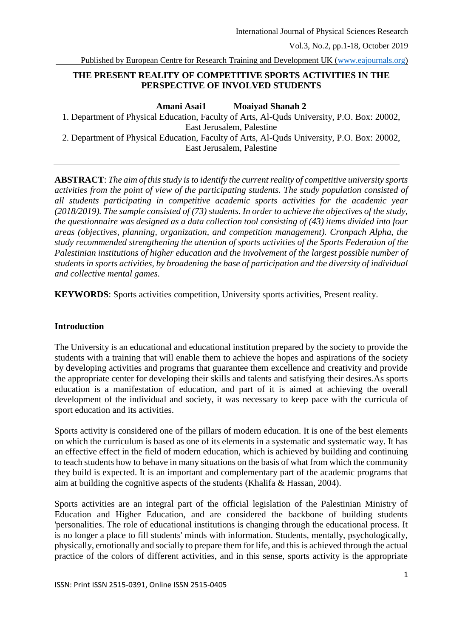Published by European Centre for Research Training and Development UK [\(www.eajournals.org\)](http://www.eajournals.org/)

## **THE PRESENT REALITY OF COMPETITIVE SPORTS ACTIVITIES IN THE PERSPECTIVE OF INVOLVED STUDENTS**

**Amani Asai1 Moaiyad Shanah 2**

1. Department of Physical Education, Faculty of Arts, Al-Quds University, P.O. Box: 20002, East Jerusalem, Palestine

2. Department of Physical Education, Faculty of Arts, Al-Quds University, P.O. Box: 20002, East Jerusalem, Palestine

**ABSTRACT**: *The aim of this study is to identify the current reality of competitive university sports activities from the point of view of the participating students. The study population consisted of all students participating in competitive academic sports activities for the academic year (2018/2019). The sample consisted of (73) students. In order to achieve the objectives of the study, the questionnaire was designed as a data collection tool consisting of (43) items divided into four areas (objectives, planning, organization, and competition management). Cronpach Alpha, the study recommended strengthening the attention of sports activities of the Sports Federation of the Palestinian institutions of higher education and the involvement of the largest possible number of students in sports activities, by broadening the base of participation and the diversity of individual and collective mental games.*

**KEYWORDS**: Sports activities competition, University sports activities, Present reality.

#### **Introduction**

The University is an educational and educational institution prepared by the society to provide the students with a training that will enable them to achieve the hopes and aspirations of the society by developing activities and programs that guarantee them excellence and creativity and provide the appropriate center for developing their skills and talents and satisfying their desires.As sports education is a manifestation of education, and part of it is aimed at achieving the overall development of the individual and society, it was necessary to keep pace with the curricula of sport education and its activities.

Sports activity is considered one of the pillars of modern education. It is one of the best elements on which the curriculum is based as one of its elements in a systematic and systematic way. It has an effective effect in the field of modern education, which is achieved by building and continuing to teach students how to behave in many situations on the basis of what from which the community they build is expected. It is an important and complementary part of the academic programs that aim at building the cognitive aspects of the students (Khalifa & Hassan, 2004).

Sports activities are an integral part of the official legislation of the Palestinian Ministry of Education and Higher Education, and are considered the backbone of building students 'personalities. The role of educational institutions is changing through the educational process. It is no longer a place to fill students' minds with information. Students, mentally, psychologically, physically, emotionally and socially to prepare them for life, and this is achieved through the actual practice of the colors of different activities, and in this sense, sports activity is the appropriate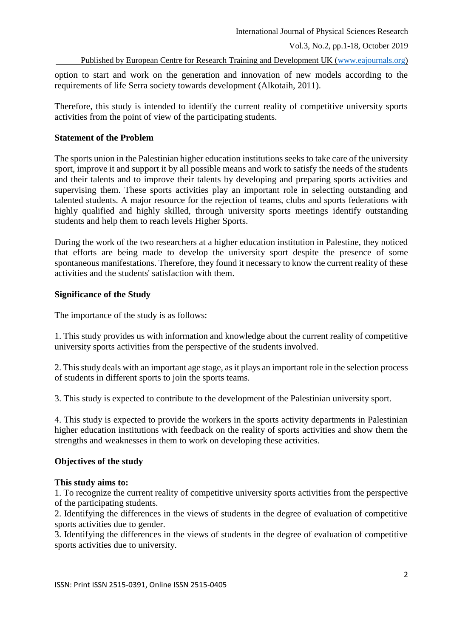Published by European Centre for Research Training and Development UK [\(www.eajournals.org\)](http://www.eajournals.org/)

option to start and work on the generation and innovation of new models according to the requirements of life Serra society towards development (Alkotaih, 2011).

Therefore, this study is intended to identify the current reality of competitive university sports activities from the point of view of the participating students.

# **Statement of the Problem**

The sports union in the Palestinian higher education institutions seeks to take care of the university sport, improve it and support it by all possible means and work to satisfy the needs of the students and their talents and to improve their talents by developing and preparing sports activities and supervising them. These sports activities play an important role in selecting outstanding and talented students. A major resource for the rejection of teams, clubs and sports federations with highly qualified and highly skilled, through university sports meetings identify outstanding students and help them to reach levels Higher Sports.

During the work of the two researchers at a higher education institution in Palestine, they noticed that efforts are being made to develop the university sport despite the presence of some spontaneous manifestations. Therefore, they found it necessary to know the current reality of these activities and the students' satisfaction with them.

# **Significance of the Study**

The importance of the study is as follows:

1. This study provides us with information and knowledge about the current reality of competitive university sports activities from the perspective of the students involved.

2. This study deals with an important age stage, as it plays an important role in the selection process of students in different sports to join the sports teams.

3. This study is expected to contribute to the development of the Palestinian university sport.

4. This study is expected to provide the workers in the sports activity departments in Palestinian higher education institutions with feedback on the reality of sports activities and show them the strengths and weaknesses in them to work on developing these activities.

## **Objectives of the study**

## **This study aims to:**

1. To recognize the current reality of competitive university sports activities from the perspective of the participating students.

2. Identifying the differences in the views of students in the degree of evaluation of competitive sports activities due to gender.

3. Identifying the differences in the views of students in the degree of evaluation of competitive sports activities due to university.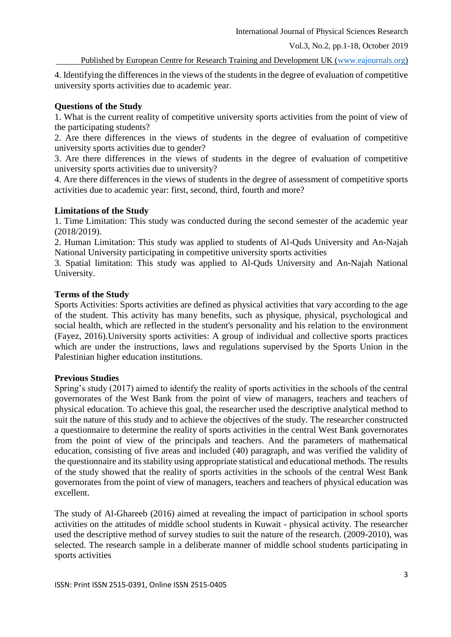International Journal of Physical Sciences Research

Vol.3, No.2, pp.1-18, October 2019

Published by European Centre for Research Training and Development UK [\(www.eajournals.org\)](http://www.eajournals.org/)

4. Identifying the differences in the views of the students in the degree of evaluation of competitive university sports activities due to academic year.

# **Questions of the Study**

1. What is the current reality of competitive university sports activities from the point of view of the participating students?

2. Are there differences in the views of students in the degree of evaluation of competitive university sports activities due to gender?

3. Are there differences in the views of students in the degree of evaluation of competitive university sports activities due to university?

4. Are there differences in the views of students in the degree of assessment of competitive sports activities due to academic year: first, second, third, fourth and more?

# **Limitations of the Study**

1. Time Limitation: This study was conducted during the second semester of the academic year (2018/2019).

2. Human Limitation: This study was applied to students of Al-Quds University and An-Najah National University participating in competitive university sports activities

3. Spatial limitation: This study was applied to Al-Quds University and An-Najah National University.

## **Terms of the Study**

Sports Activities: Sports activities are defined as physical activities that vary according to the age of the student. This activity has many benefits, such as physique, physical, psychological and social health, which are reflected in the student's personality and his relation to the environment (Fayez, 2016).University sports activities: A group of individual and collective sports practices which are under the instructions, laws and regulations supervised by the Sports Union in the Palestinian higher education institutions.

# **Previous Studies**

Spring's study (2017) aimed to identify the reality of sports activities in the schools of the central governorates of the West Bank from the point of view of managers, teachers and teachers of physical education. To achieve this goal, the researcher used the descriptive analytical method to suit the nature of this study and to achieve the objectives of the study. The researcher constructed a questionnaire to determine the reality of sports activities in the central West Bank governorates from the point of view of the principals and teachers. And the parameters of mathematical education, consisting of five areas and included (40) paragraph, and was verified the validity of the questionnaire and its stability using appropriate statistical and educational methods. The results of the study showed that the reality of sports activities in the schools of the central West Bank governorates from the point of view of managers, teachers and teachers of physical education was excellent.

The study of Al-Ghareeb (2016) aimed at revealing the impact of participation in school sports activities on the attitudes of middle school students in Kuwait - physical activity. The researcher used the descriptive method of survey studies to suit the nature of the research. (2009-2010), was selected. The research sample in a deliberate manner of middle school students participating in sports activities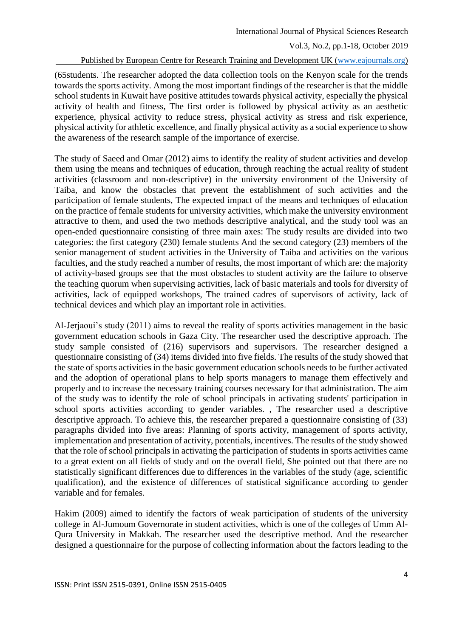#### Published by European Centre for Research Training and Development UK [\(www.eajournals.org\)](http://www.eajournals.org/)

(65students. The researcher adopted the data collection tools on the Kenyon scale for the trends towards the sports activity. Among the most important findings of the researcher is that the middle school students in Kuwait have positive attitudes towards physical activity, especially the physical activity of health and fitness, The first order is followed by physical activity as an aesthetic experience, physical activity to reduce stress, physical activity as stress and risk experience, physical activity for athletic excellence, and finally physical activity as a social experience to show the awareness of the research sample of the importance of exercise.

The study of Saeed and Omar (2012) aims to identify the reality of student activities and develop them using the means and techniques of education, through reaching the actual reality of student activities (classroom and non-descriptive) in the university environment of the University of Taiba, and know the obstacles that prevent the establishment of such activities and the participation of female students, The expected impact of the means and techniques of education on the practice of female students for university activities, which make the university environment attractive to them, and used the two methods descriptive analytical, and the study tool was an open-ended questionnaire consisting of three main axes: The study results are divided into two categories: the first category (230) female students And the second category (23) members of the senior management of student activities in the University of Taiba and activities on the various faculties, and the study reached a number of results, the most important of which are: the majority of activity-based groups see that the most obstacles to student activity are the failure to observe the teaching quorum when supervising activities, lack of basic materials and tools for diversity of activities, lack of equipped workshops, The trained cadres of supervisors of activity, lack of technical devices and which play an important role in activities.

Al-Jerjaoui's study (2011) aims to reveal the reality of sports activities management in the basic government education schools in Gaza City. The researcher used the descriptive approach. The study sample consisted of (216) supervisors and supervisors. The researcher designed a questionnaire consisting of (34) items divided into five fields. The results of the study showed that the state of sports activities in the basic government education schools needs to be further activated and the adoption of operational plans to help sports managers to manage them effectively and properly and to increase the necessary training courses necessary for that administration. The aim of the study was to identify the role of school principals in activating students' participation in school sports activities according to gender variables. , The researcher used a descriptive descriptive approach. To achieve this, the researcher prepared a questionnaire consisting of (33) paragraphs divided into five areas: Planning of sports activity, management of sports activity, implementation and presentation of activity, potentials, incentives. The results of the study showed that the role of school principals in activating the participation of students in sports activities came to a great extent on all fields of study and on the overall field, She pointed out that there are no statistically significant differences due to differences in the variables of the study (age, scientific qualification), and the existence of differences of statistical significance according to gender variable and for females.

Hakim (2009) aimed to identify the factors of weak participation of students of the university college in Al-Jumoum Governorate in student activities, which is one of the colleges of Umm Al-Qura University in Makkah. The researcher used the descriptive method. And the researcher designed a questionnaire for the purpose of collecting information about the factors leading to the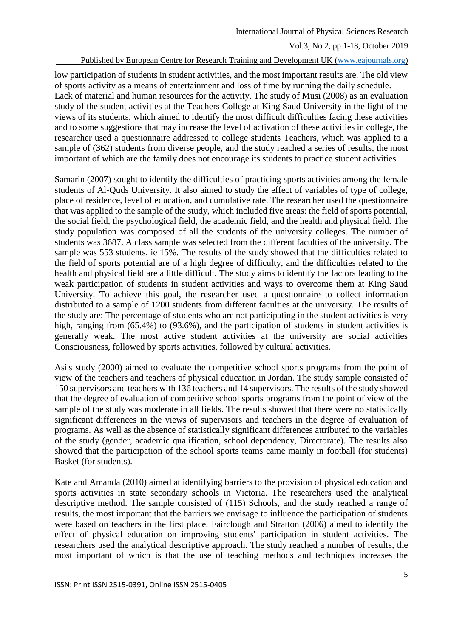#### Published by European Centre for Research Training and Development UK [\(www.eajournals.org\)](http://www.eajournals.org/)

low participation of students in student activities, and the most important results are. The old view of sports activity as a means of entertainment and loss of time by running the daily schedule. Lack of material and human resources for the activity. The study of Musi (2008) as an evaluation study of the student activities at the Teachers College at King Saud University in the light of the views of its students, which aimed to identify the most difficult difficulties facing these activities and to some suggestions that may increase the level of activation of these activities in college, the researcher used a questionnaire addressed to college students Teachers, which was applied to a sample of (362) students from diverse people, and the study reached a series of results, the most important of which are the family does not encourage its students to practice student activities.

Samarin (2007) sought to identify the difficulties of practicing sports activities among the female students of Al-Quds University. It also aimed to study the effect of variables of type of college, place of residence, level of education, and cumulative rate. The researcher used the questionnaire that was applied to the sample of the study, which included five areas: the field of sports potential, the social field, the psychological field, the academic field, and the health and physical field. The study population was composed of all the students of the university colleges. The number of students was 3687. A class sample was selected from the different faculties of the university. The sample was 553 students, ie 15%. The results of the study showed that the difficulties related to the field of sports potential are of a high degree of difficulty, and the difficulties related to the health and physical field are a little difficult. The study aims to identify the factors leading to the weak participation of students in student activities and ways to overcome them at King Saud University. To achieve this goal, the researcher used a questionnaire to collect information distributed to a sample of 1200 students from different faculties at the university. The results of the study are: The percentage of students who are not participating in the student activities is very high, ranging from (65.4%) to (93.6%), and the participation of students in student activities is generally weak. The most active student activities at the university are social activities Consciousness, followed by sports activities, followed by cultural activities.

Asi's study (2000) aimed to evaluate the competitive school sports programs from the point of view of the teachers and teachers of physical education in Jordan. The study sample consisted of 150 supervisors and teachers with 136 teachers and 14 supervisors. The results of the study showed that the degree of evaluation of competitive school sports programs from the point of view of the sample of the study was moderate in all fields. The results showed that there were no statistically significant differences in the views of supervisors and teachers in the degree of evaluation of programs. As well as the absence of statistically significant differences attributed to the variables of the study (gender, academic qualification, school dependency, Directorate). The results also showed that the participation of the school sports teams came mainly in football (for students) Basket (for students).

Kate and Amanda (2010) aimed at identifying barriers to the provision of physical education and sports activities in state secondary schools in Victoria. The researchers used the analytical descriptive method. The sample consisted of (115) Schools, and the study reached a range of results, the most important that the barriers we envisage to influence the participation of students were based on teachers in the first place. Fairclough and Stratton (2006) aimed to identify the effect of physical education on improving students' participation in student activities. The researchers used the analytical descriptive approach. The study reached a number of results, the most important of which is that the use of teaching methods and techniques increases the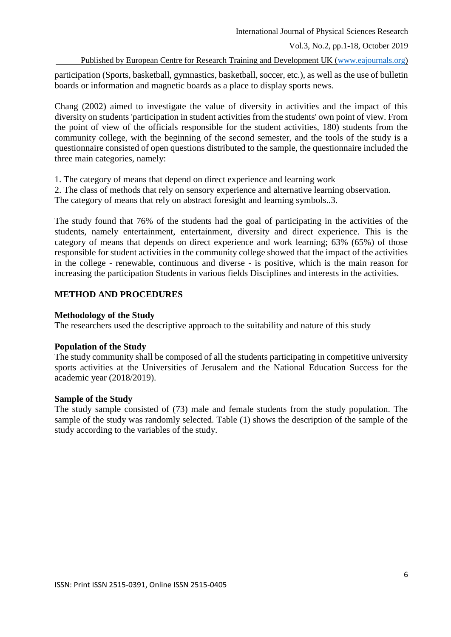#### Published by European Centre for Research Training and Development UK [\(www.eajournals.org\)](http://www.eajournals.org/)

participation (Sports, basketball, gymnastics, basketball, soccer, etc.), as well as the use of bulletin boards or information and magnetic boards as a place to display sports news.

Chang (2002) aimed to investigate the value of diversity in activities and the impact of this diversity on students 'participation in student activities from the students' own point of view. From the point of view of the officials responsible for the student activities, 180) students from the community college, with the beginning of the second semester, and the tools of the study is a questionnaire consisted of open questions distributed to the sample, the questionnaire included the three main categories, namely:

1. The category of means that depend on direct experience and learning work

2. The class of methods that rely on sensory experience and alternative learning observation.

The category of means that rely on abstract foresight and learning symbols..3.

The study found that 76% of the students had the goal of participating in the activities of the students, namely entertainment, entertainment, diversity and direct experience. This is the category of means that depends on direct experience and work learning; 63% (65%) of those responsible for student activities in the community college showed that the impact of the activities in the college - renewable, continuous and diverse - is positive, which is the main reason for increasing the participation Students in various fields Disciplines and interests in the activities.

## **METHOD AND PROCEDURES**

## **Methodology of the Study**

The researchers used the descriptive approach to the suitability and nature of this study

## **Population of the Study**

The study community shall be composed of all the students participating in competitive university sports activities at the Universities of Jerusalem and the National Education Success for the academic year (2018/2019).

## **Sample of the Study**

The study sample consisted of (73) male and female students from the study population. The sample of the study was randomly selected. Table (1) shows the description of the sample of the study according to the variables of the study.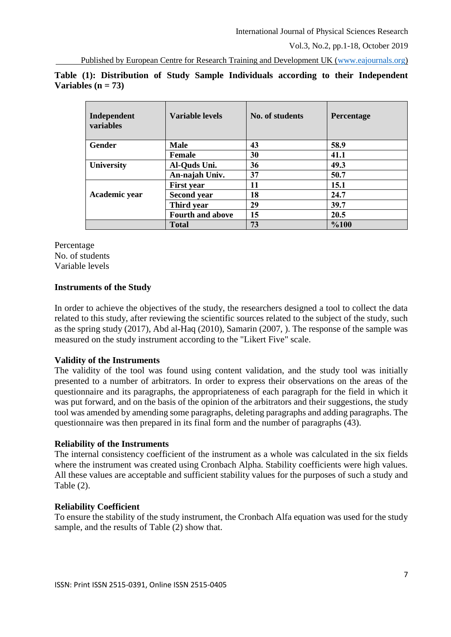Published by European Centre for Research Training and Development UK [\(www.eajournals.org\)](http://www.eajournals.org/)

| Independent<br>variables | <b>Variable levels</b>  | No. of students | <b>Percentage</b> |
|--------------------------|-------------------------|-----------------|-------------------|
| <b>Gender</b>            | <b>Male</b>             | 43              | 58.9              |
|                          | <b>Female</b>           | 30              | 41.1              |
| <b>University</b>        | Al-Quds Uni.            | 36              | 49.3              |
|                          | An-najah Univ.          | 37              | 50.7              |
|                          | <b>First year</b>       | 11              | 15.1              |
| Academic year            | <b>Second year</b>      | 18              | 24.7              |
|                          | Third year              | 29              | 39.7              |
|                          | <b>Fourth and above</b> | 15              | 20.5              |
|                          | <b>Total</b>            | 73              | %100              |

**Table (1): Distribution of Study Sample Individuals according to their Independent Variables (n = 73)**

Percentage No. of students Variable levels

# **Instruments of the Study**

In order to achieve the objectives of the study, the researchers designed a tool to collect the data related to this study, after reviewing the scientific sources related to the subject of the study, such as the spring study (2017), Abd al-Haq (2010), Samarin (2007, ). The response of the sample was measured on the study instrument according to the "Likert Five" scale.

## **Validity of the Instruments**

The validity of the tool was found using content validation, and the study tool was initially presented to a number of arbitrators. In order to express their observations on the areas of the questionnaire and its paragraphs, the appropriateness of each paragraph for the field in which it was put forward, and on the basis of the opinion of the arbitrators and their suggestions, the study tool was amended by amending some paragraphs, deleting paragraphs and adding paragraphs. The questionnaire was then prepared in its final form and the number of paragraphs (43).

## **Reliability of the Instruments**

The internal consistency coefficient of the instrument as a whole was calculated in the six fields where the instrument was created using Cronbach Alpha. Stability coefficients were high values. All these values are acceptable and sufficient stability values for the purposes of such a study and Table (2).

## **Reliability Coefficient**

To ensure the stability of the study instrument, the Cronbach Alfa equation was used for the study sample, and the results of Table (2) show that.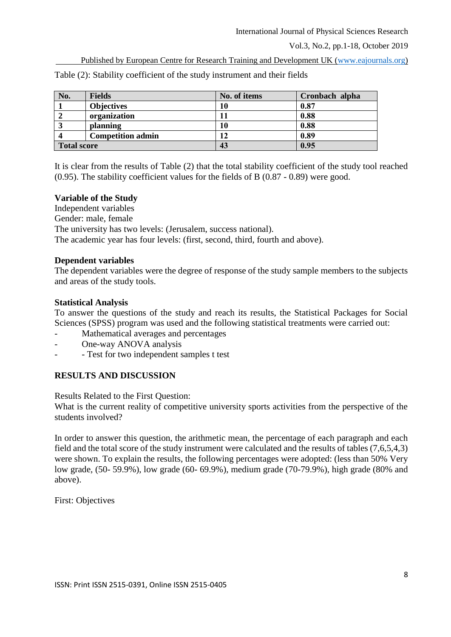Published by European Centre for Research Training and Development UK [\(www.eajournals.org\)](http://www.eajournals.org/)

| No.                | <b>Fields</b>            | No. of items | Cronbach alpha |
|--------------------|--------------------------|--------------|----------------|
|                    | <b>Objectives</b>        | 10           | 0.87           |
|                    | organization             |              | 0.88           |
| J                  | planning                 | 10           | 0.88           |
|                    | <b>Competition admin</b> | 12           | 0.89           |
| <b>Total score</b> |                          | 43           | 0.95           |

Table (2): Stability coefficient of the study instrument and their fields

It is clear from the results of Table (2) that the total stability coefficient of the study tool reached (0.95). The stability coefficient values for the fields of B (0.87 - 0.89) were good.

#### **Variable of the Study**

Independent variables Gender: male, female The university has two levels: (Jerusalem, success national). The academic year has four levels: (first, second, third, fourth and above).

#### **Dependent variables**

The dependent variables were the degree of response of the study sample members to the subjects and areas of the study tools.

#### **Statistical Analysis**

To answer the questions of the study and reach its results, the Statistical Packages for Social Sciences (SPSS) program was used and the following statistical treatments were carried out:

- Mathematical averages and percentages
- One-way ANOVA analysis
- - Test for two independent samples t test

## **RESULTS AND DISCUSSION**

Results Related to the First Question:

What is the current reality of competitive university sports activities from the perspective of the students involved?

In order to answer this question, the arithmetic mean, the percentage of each paragraph and each field and the total score of the study instrument were calculated and the results of tables (7,6,5,4,3) were shown. To explain the results, the following percentages were adopted: (less than 50% Very low grade, (50- 59.9%), low grade (60- 69.9%), medium grade (70-79.9%), high grade (80% and above).

First: Objectives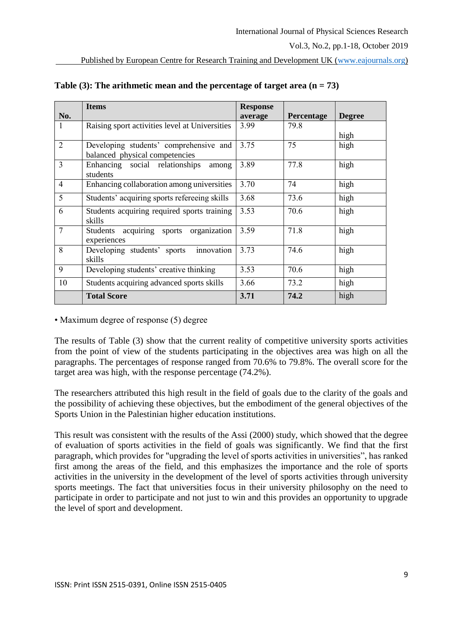| No.            | <b>Items</b>                                   | <b>Response</b><br>average | Percentage | <b>Degree</b> |
|----------------|------------------------------------------------|----------------------------|------------|---------------|
| 1              | Raising sport activities level at Universities | 3.99                       | 79.8       |               |
|                |                                                |                            |            | high          |
| $\overline{2}$ | Developing students' comprehensive and         | 3.75                       | 75         | high          |
|                | balanced physical competencies                 |                            |            |               |
| $\overline{3}$ | Enhancing social relationships<br>among        | 3.89                       | 77.8       | high          |
|                | students                                       |                            |            |               |
| $\overline{4}$ | Enhancing collaboration among universities     | 3.70                       | 74         | high          |
| 5              | Students' acquiring sports refereeing skills   | 3.68                       | 73.6       | high          |
| 6              | Students acquiring required sports training    | 3.53                       | 70.6       | high          |
|                | skills                                         |                            |            |               |
| $\overline{7}$ | Students acquiring sports organization         | 3.59                       | 71.8       | high          |
|                | experiences                                    |                            |            |               |
| 8              | innovation<br>Developing students' sports      | 3.73                       | 74.6       | high          |
|                | skills                                         |                            |            |               |
| 9              | Developing students' creative thinking         | 3.53                       | 70.6       | high          |
| 10             | Students acquiring advanced sports skills      | 3.66                       | 73.2       | high          |
|                | <b>Total Score</b>                             | 3.71                       | 74.2       | high          |

**Table (3): The arithmetic mean and the percentage of target area (n = 73)**

• Maximum degree of response (5) degree

The results of Table (3) show that the current reality of competitive university sports activities from the point of view of the students participating in the objectives area was high on all the paragraphs. The percentages of response ranged from 70.6% to 79.8%. The overall score for the target area was high, with the response percentage (74.2%).

The researchers attributed this high result in the field of goals due to the clarity of the goals and the possibility of achieving these objectives, but the embodiment of the general objectives of the Sports Union in the Palestinian higher education institutions.

This result was consistent with the results of the Assi (2000) study, which showed that the degree of evaluation of sports activities in the field of goals was significantly. We find that the first paragraph, which provides for "upgrading the level of sports activities in universities", has ranked first among the areas of the field, and this emphasizes the importance and the role of sports activities in the university in the development of the level of sports activities through university sports meetings. The fact that universities focus in their university philosophy on the need to participate in order to participate and not just to win and this provides an opportunity to upgrade the level of sport and development.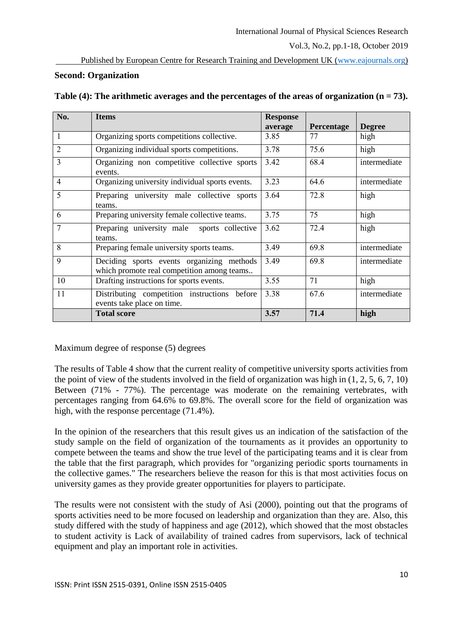Published by European Centre for Research Training and Development UK [\(www.eajournals.org\)](http://www.eajournals.org/)

# **Second: Organization**

| No.            | <b>Items</b>                                                                            | <b>Response</b> |                   |               |
|----------------|-----------------------------------------------------------------------------------------|-----------------|-------------------|---------------|
|                |                                                                                         | average         | <b>Percentage</b> | <b>Degree</b> |
| $\mathbf{1}$   | Organizing sports competitions collective.                                              | 3.85            | 77                | high          |
| $\overline{2}$ | Organizing individual sports competitions.                                              | 3.78            | 75.6              | high          |
| 3              | Organizing non competitive collective sports<br>events.                                 | 3.42            | 68.4              | intermediate  |
| $\overline{4}$ | Organizing university individual sports events.                                         | 3.23            | 64.6              | intermediate  |
| 5              | Preparing university male collective sports<br>teams.                                   | 3.64            | 72.8              | high          |
| 6              | Preparing university female collective teams.                                           | 3.75            | 75                | high          |
| 7              | Preparing university male<br>sports collective<br>teams.                                | 3.62            | 72.4              | high          |
| 8              | Preparing female university sports teams.                                               | 3.49            | 69.8              | intermediate  |
| 9              | Deciding sports events organizing methods<br>which promote real competition among teams | 3.49            | 69.8              | intermediate  |
| 10             | Drafting instructions for sports events.                                                | 3.55            | 71                | high          |
| 11             | Distributing competition instructions before<br>events take place on time.              | 3.38            | 67.6              | intermediate  |
|                | <b>Total score</b>                                                                      | 3.57            | 71.4              | high          |

| Table (4): The arithmetic averages and the percentages of the areas of organization ( $n = 73$ ). |  |  |  |
|---------------------------------------------------------------------------------------------------|--|--|--|
|---------------------------------------------------------------------------------------------------|--|--|--|

Maximum degree of response (5) degrees

The results of Table 4 show that the current reality of competitive university sports activities from the point of view of the students involved in the field of organization was high in (1, 2, 5, 6, 7, 10) Between (71% - 77%). The percentage was moderate on the remaining vertebrates, with percentages ranging from 64.6% to 69.8%. The overall score for the field of organization was high, with the response percentage (71.4%).

In the opinion of the researchers that this result gives us an indication of the satisfaction of the study sample on the field of organization of the tournaments as it provides an opportunity to compete between the teams and show the true level of the participating teams and it is clear from the table that the first paragraph, which provides for "organizing periodic sports tournaments in the collective games." The researchers believe the reason for this is that most activities focus on university games as they provide greater opportunities for players to participate.

The results were not consistent with the study of Asi (2000), pointing out that the programs of sports activities need to be more focused on leadership and organization than they are. Also, this study differed with the study of happiness and age (2012), which showed that the most obstacles to student activity is Lack of availability of trained cadres from supervisors, lack of technical equipment and play an important role in activities.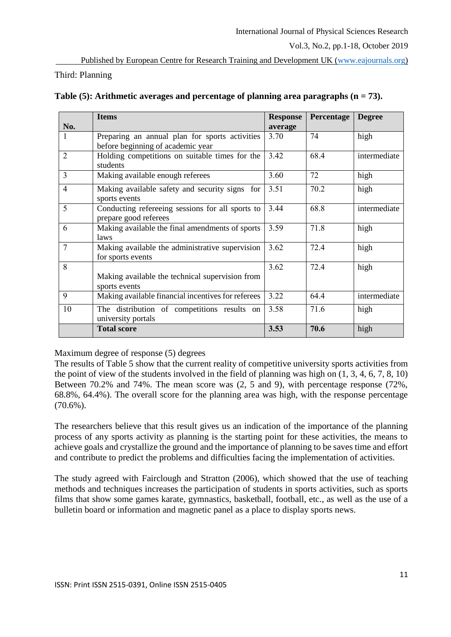# Third: Planning

|                | <b>Items</b>                                       | <b>Response</b> | Percentage | <b>Degree</b> |
|----------------|----------------------------------------------------|-----------------|------------|---------------|
| No.            |                                                    | average         |            |               |
| 1              | Preparing an annual plan for sports activities     | 3.70            | 74         | high          |
|                | before beginning of academic year                  |                 |            |               |
| $\overline{2}$ | Holding competitions on suitable times for the     | 3.42            | 68.4       | intermediate  |
|                | students                                           |                 |            |               |
| $\overline{3}$ | Making available enough referees                   | 3.60            | 72         | high          |
| $\overline{4}$ | Making available safety and security signs for     | 3.51            | 70.2       | high          |
|                | sports events                                      |                 |            |               |
| 5              | Conducting refereeing sessions for all sports to   | 3.44            | 68.8       | intermediate  |
|                | prepare good referees                              |                 |            |               |
| 6              | Making available the final amendments of sports    | 3.59            | 71.8       | high          |
|                | laws                                               |                 |            |               |
| $\overline{7}$ | Making available the administrative supervision    | 3.62            | 72.4       | high          |
|                | for sports events                                  |                 |            |               |
| 8              |                                                    | 3.62            | 72.4       | high          |
|                | Making available the technical supervision from    |                 |            |               |
|                | sports events                                      |                 |            |               |
| 9              | Making available financial incentives for referees | 3.22            | 64.4       | intermediate  |
| 10             | The distribution of competitions results on        | 3.58            | 71.6       | high          |
|                | university portals                                 |                 |            |               |
|                | <b>Total score</b>                                 | 3.53            | 70.6       | high          |

# **Table (5): Arithmetic averages and percentage of planning area paragraphs (n = 73).**

Maximum degree of response (5) degrees

The results of Table 5 show that the current reality of competitive university sports activities from the point of view of the students involved in the field of planning was high on (1, 3, 4, 6, 7, 8, 10) Between 70.2% and 74%. The mean score was (2, 5 and 9), with percentage response (72%, 68.8%, 64.4%). The overall score for the planning area was high, with the response percentage (70.6%).

The researchers believe that this result gives us an indication of the importance of the planning process of any sports activity as planning is the starting point for these activities, the means to achieve goals and crystallize the ground and the importance of planning to be saves time and effort and contribute to predict the problems and difficulties facing the implementation of activities.

The study agreed with Fairclough and Stratton (2006), which showed that the use of teaching methods and techniques increases the participation of students in sports activities, such as sports films that show some games karate, gymnastics, basketball, football, etc., as well as the use of a bulletin board or information and magnetic panel as a place to display sports news.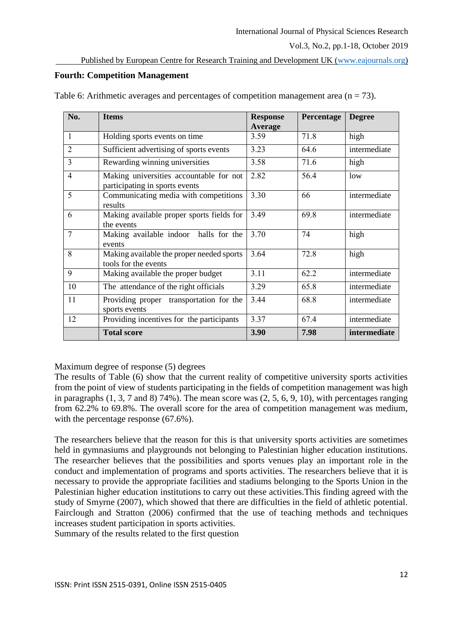# **Fourth: Competition Management**

| No.            | <b>Items</b>                                                              | <b>Response</b><br><b>Average</b> | Percentage | <b>Degree</b> |
|----------------|---------------------------------------------------------------------------|-----------------------------------|------------|---------------|
| $\mathbf{1}$   | Holding sports events on time                                             | 3.59                              | 71.8       | high          |
| $\overline{2}$ | Sufficient advertising of sports events                                   | 3.23                              | 64.6       | intermediate  |
| 3              | Rewarding winning universities                                            | 3.58                              | 71.6       | high          |
| $\overline{4}$ | Making universities accountable for not<br>participating in sports events | 2.82                              | 56.4       | low           |
| 5              | Communicating media with competitions<br>results                          | 3.30                              | 66         | intermediate  |
| 6              | Making available proper sports fields for<br>the events                   | 3.49                              | 69.8       | intermediate  |
| $\overline{7}$ | Making available indoor halls for the<br>events                           | 3.70                              | 74         | high          |
| 8              | Making available the proper needed sports<br>tools for the events         | 3.64                              | 72.8       | high          |
| 9              | Making available the proper budget                                        | 3.11                              | 62.2       | intermediate  |
| 10             | The attendance of the right officials                                     | 3.29                              | 65.8       | intermediate  |
| 11             | Providing proper transportation for the<br>sports events                  | 3.44                              | 68.8       | intermediate  |
| 12             | Providing incentives for the participants                                 | 3.37                              | 67.4       | intermediate  |
|                | <b>Total score</b>                                                        | 3.90                              | 7.98       | intermediate  |

Table 6: Arithmetic averages and percentages of competition management area ( $n = 73$ ).

Maximum degree of response (5) degrees

The results of Table (6) show that the current reality of competitive university sports activities from the point of view of students participating in the fields of competition management was high in paragraphs  $(1, 3, 7 \text{ and } 8)$  74%). The mean score was  $(2, 5, 6, 9, 10)$ , with percentages ranging from 62.2% to 69.8%. The overall score for the area of competition management was medium, with the percentage response  $(67.6\%)$ .

The researchers believe that the reason for this is that university sports activities are sometimes held in gymnasiums and playgrounds not belonging to Palestinian higher education institutions. The researcher believes that the possibilities and sports venues play an important role in the conduct and implementation of programs and sports activities. The researchers believe that it is necessary to provide the appropriate facilities and stadiums belonging to the Sports Union in the Palestinian higher education institutions to carry out these activities.This finding agreed with the study of Smyrne (2007), which showed that there are difficulties in the field of athletic potential. Fairclough and Stratton (2006) confirmed that the use of teaching methods and techniques increases student participation in sports activities.

Summary of the results related to the first question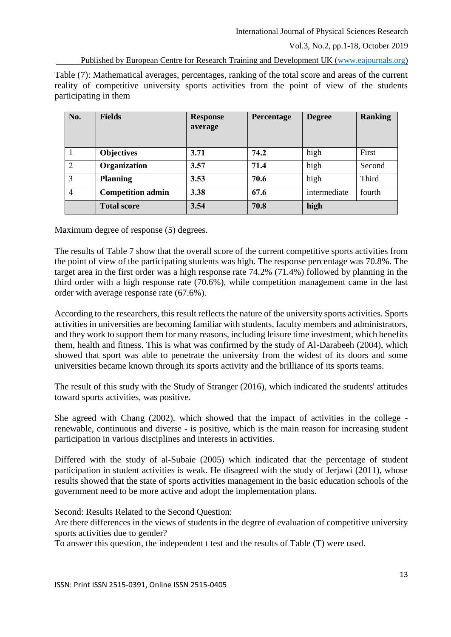#### Published by European Centre for Research Training and Development UK [\(www.eajournals.org\)](http://www.eajournals.org/)

Table (7): Mathematical averages, percentages, ranking of the total score and areas of the current reality of competitive university sports activities from the point of view of the students participating in them

| No.            | <b>Fields</b>            | <b>Response</b><br>average | Percentage | <b>Degree</b> | <b>Ranking</b> |
|----------------|--------------------------|----------------------------|------------|---------------|----------------|
|                | <b>Objectives</b>        | 3.71                       | 74.2       | high          | First          |
| 2              | Organization             | 3.57                       | 71.4       | high          | Second         |
| 3              | <b>Planning</b>          | 3.53                       | 70.6       | high          | Third          |
| $\overline{4}$ | <b>Competition admin</b> | 3.38                       | 67.6       | intermediate  | fourth         |
|                | <b>Total score</b>       | 3.54                       | 70.8       | high          |                |

Maximum degree of response (5) degrees.

The results of Table 7 show that the overall score of the current competitive sports activities from the point of view of the participating students was high. The response percentage was 70.8%. The target area in the first order was a high response rate 74.2% (71.4%) followed by planning in the third order with a high response rate (70.6%), while competition management came in the last order with average response rate (67.6%).

According to the researchers, this result reflects the nature of the university sports activities. Sports activities in universities are becoming familiar with students, faculty members and administrators, and they work to support them for many reasons, including leisure time investment, which benefits them, health and fitness. This is what was confirmed by the study of Al-Darabeeh (2004), which showed that sport was able to penetrate the university from the widest of its doors and some universities became known through its sports activity and the brilliance of its sports teams.

The result of this study with the Study of Stranger (2016), which indicated the students' attitudes toward sports activities, was positive.

She agreed with Chang (2002), which showed that the impact of activities in the college renewable, continuous and diverse - is positive, which is the main reason for increasing student participation in various disciplines and interests in activities.

Differed with the study of al-Subaie (2005) which indicated that the percentage of student participation in student activities is weak. He disagreed with the study of Jerjawi (2011), whose results showed that the state of sports activities management in the basic education schools of the government need to be more active and adopt the implementation plans.

Second: Results Related to the Second Question:

Are there differences in the views of students in the degree of evaluation of competitive university sports activities due to gender?

To answer this question, the independent t test and the results of Table (T) were used.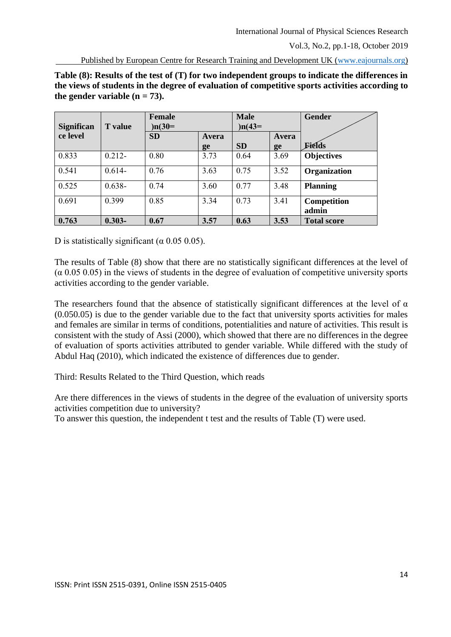Published by European Centre for Research Training and Development UK [\(www.eajournals.org\)](http://www.eajournals.org/)

**Table (8): Results of the test of (T) for two independent groups to indicate the differences in the views of students in the degree of evaluation of competitive sports activities according to**  the gender variable  $(n = 73)$ .

| <b>Significan</b> | <b>T</b> value | <b>Female</b><br>$)n(30=$ |       | <b>Male</b><br>$)n(43=$ |       | <b>Gender</b>        |
|-------------------|----------------|---------------------------|-------|-------------------------|-------|----------------------|
| ce level          |                | <b>SD</b>                 | Avera |                         | Avera |                      |
|                   |                |                           | ge    | <b>SD</b>               | ge    | Fields               |
| 0.833             | $0.212 -$      | 0.80                      | 3.73  | 0.64                    | 3.69  | <b>Objectives</b>    |
| 0.541             | $0.614-$       | 0.76                      | 3.63  | 0.75                    | 3.52  | Organization         |
| 0.525             | $0.638 -$      | 0.74                      | 3.60  | 0.77                    | 3.48  | <b>Planning</b>      |
| 0.691             | 0.399          | 0.85                      | 3.34  | 0.73                    | 3.41  | Competition<br>admin |
| 0.763             | $0.303 -$      | 0.67                      | 3.57  | 0.63                    | 3.53  | <b>Total score</b>   |

D is statistically significant ( $\alpha$  0.05 0.05).

The results of Table (8) show that there are no statistically significant differences at the level of  $(\alpha \ 0.05 \ 0.05)$  in the views of students in the degree of evaluation of competitive university sports activities according to the gender variable.

The researchers found that the absence of statistically significant differences at the level of  $\alpha$ (0.050.05) is due to the gender variable due to the fact that university sports activities for males and females are similar in terms of conditions, potentialities and nature of activities. This result is consistent with the study of Assi (2000), which showed that there are no differences in the degree of evaluation of sports activities attributed to gender variable. While differed with the study of Abdul Haq (2010), which indicated the existence of differences due to gender.

Third: Results Related to the Third Question, which reads

Are there differences in the views of students in the degree of the evaluation of university sports activities competition due to university?

To answer this question, the independent t test and the results of Table (T) were used.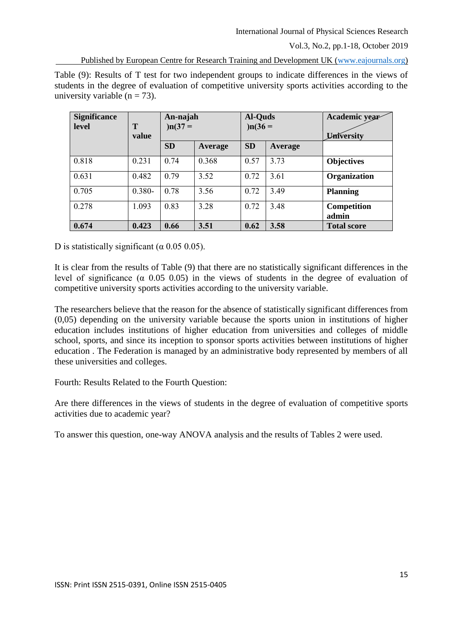Published by European Centre for Research Training and Development UK [\(www.eajournals.org\)](http://www.eajournals.org/)

Table (9): Results of T test for two independent groups to indicate differences in the views of students in the degree of evaluation of competitive university sports activities according to the university variable  $(n = 73)$ .

| <b>Significance</b><br>level | T<br>value | An-najah<br>$)n(37 =$ |         | <b>Al-Quds</b><br>$)n(36 =$ |         | Academic year<br>University |
|------------------------------|------------|-----------------------|---------|-----------------------------|---------|-----------------------------|
|                              |            | <b>SD</b>             | Average | <b>SD</b>                   | Average |                             |
| 0.818                        | 0.231      | 0.74                  | 0.368   | 0.57                        | 3.73    | <b>Objectives</b>           |
| 0.631                        | 0.482      | 0.79                  | 3.52    | 0.72                        | 3.61    | <b>Organization</b>         |
| 0.705                        | $0.380 -$  | 0.78                  | 3.56    | 0.72                        | 3.49    | <b>Planning</b>             |
| 0.278                        | 1.093      | 0.83                  | 3.28    | 0.72                        | 3.48    | Competition<br>admin        |
| 0.674                        | 0.423      | 0.66                  | 3.51    | 0.62                        | 3.58    | <b>Total score</b>          |

D is statistically significant ( $\alpha$  0.05 0.05).

It is clear from the results of Table (9) that there are no statistically significant differences in the level of significance ( $\alpha$  0.05 0.05) in the views of students in the degree of evaluation of competitive university sports activities according to the university variable.

The researchers believe that the reason for the absence of statistically significant differences from (0,05) depending on the university variable because the sports union in institutions of higher education includes institutions of higher education from universities and colleges of middle school, sports, and since its inception to sponsor sports activities between institutions of higher education . The Federation is managed by an administrative body represented by members of all these universities and colleges.

Fourth: Results Related to the Fourth Question:

Are there differences in the views of students in the degree of evaluation of competitive sports activities due to academic year?

To answer this question, one-way ANOVA analysis and the results of Tables 2 were used.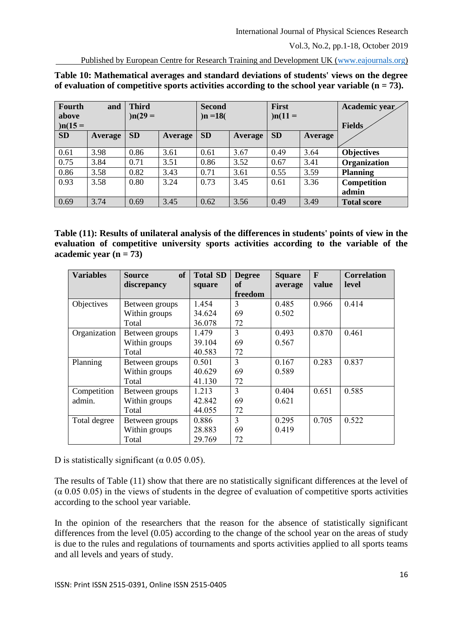Published by European Centre for Research Training and Development UK [\(www.eajournals.org\)](http://www.eajournals.org/)

**Table 10: Mathematical averages and standard deviations of students' views on the degree**  of evaluation of competitive sports activities according to the school year variable  $(n = 73)$ .

| Fourth<br>above<br>$)n(15 =$ | and     | <b>Third</b><br>$)n(29 =$ |                | <b>Second</b><br>$)n = 18($ |                | First<br>$)n(11 =$ |                | Academic year<br><b>Fields</b> |
|------------------------------|---------|---------------------------|----------------|-----------------------------|----------------|--------------------|----------------|--------------------------------|
| <b>SD</b>                    | Average | <b>SD</b>                 | <b>Average</b> | <b>SD</b>                   | <b>Average</b> | <b>SD</b>          | <b>Average</b> |                                |
| 0.61                         | 3.98    | 0.86                      | 3.61           | 0.61                        | 3.67           | 0.49               | 3.64           | <b>Objectives</b>              |
| 0.75                         | 3.84    | 0.71                      | 3.51           | 0.86                        | 3.52           | 0.67               | 3.41           | Organization                   |
| 0.86                         | 3.58    | 0.82                      | 3.43           | 0.71                        | 3.61           | 0.55               | 3.59           | <b>Planning</b>                |
| 0.93                         | 3.58    | 0.80                      | 3.24           | 0.73                        | 3.45           | 0.61               | 3.36           | Competition                    |
|                              |         |                           |                |                             |                |                    |                | admin                          |
| 0.69                         | 3.74    | 0.69                      | 3.45           | 0.62                        | 3.56           | 0.49               | 3.49           | <b>Total score</b>             |

**Table (11): Results of unilateral analysis of the differences in students' points of view in the evaluation of competitive university sports activities according to the variable of the academic year (n = 73)**

| <b>Variables</b> | <b>of</b><br><b>Source</b> | <b>Total SD</b> | <b>Degree</b>  | <b>Square</b> | $\mathbf{F}$ | <b>Correlation</b> |
|------------------|----------------------------|-----------------|----------------|---------------|--------------|--------------------|
|                  | discrepancy                | square          | оf             | average       | value        | level              |
|                  |                            |                 | freedom        |               |              |                    |
| Objectives       | Between groups             | 1.454           | 3              | 0.485         | 0.966        | 0.414              |
|                  | Within groups              | 34.624          | 69             | 0.502         |              |                    |
|                  | Total                      | 36.078          | 72             |               |              |                    |
| Organization     | Between groups             | 1.479           | 3              | 0.493         | 0.870        | 0.461              |
|                  | Within groups              | 39.104          | 69             | 0.567         |              |                    |
|                  | Total                      | 40.583          | 72             |               |              |                    |
| Planning         | Between groups             | 0.501           | $\overline{3}$ | 0.167         | 0.283        | 0.837              |
|                  | Within groups              | 40.629          | 69             | 0.589         |              |                    |
|                  | Total                      | 41.130          | 72             |               |              |                    |
| Competition      | Between groups             | 1.213           | 3              | 0.404         | 0.651        | 0.585              |
| admin.           | Within groups              | 42.842          | 69             | 0.621         |              |                    |
|                  | Total                      | 44.055          | 72             |               |              |                    |
| Total degree     | Between groups             | 0.886           | 3              | 0.295         | 0.705        | 0.522              |
|                  | Within groups              | 28.883          | 69             | 0.419         |              |                    |
|                  | Total                      | 29.769          | 72             |               |              |                    |

D is statistically significant ( $\alpha$  0.05 0.05).

The results of Table (11) show that there are no statistically significant differences at the level of (α 0.05 0.05) in the views of students in the degree of evaluation of competitive sports activities according to the school year variable.

In the opinion of the researchers that the reason for the absence of statistically significant differences from the level (0.05) according to the change of the school year on the areas of study is due to the rules and regulations of tournaments and sports activities applied to all sports teams and all levels and years of study.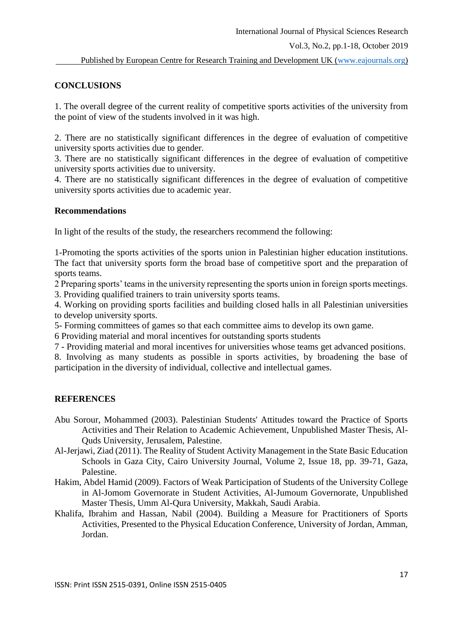# **CONCLUSIONS**

1. The overall degree of the current reality of competitive sports activities of the university from the point of view of the students involved in it was high.

2. There are no statistically significant differences in the degree of evaluation of competitive university sports activities due to gender.

3. There are no statistically significant differences in the degree of evaluation of competitive university sports activities due to university.

4. There are no statistically significant differences in the degree of evaluation of competitive university sports activities due to academic year.

# **Recommendations**

In light of the results of the study, the researchers recommend the following:

1-Promoting the sports activities of the sports union in Palestinian higher education institutions. The fact that university sports form the broad base of competitive sport and the preparation of sports teams.

2 Preparing sports' teams in the university representing the sports union in foreign sports meetings.

3. Providing qualified trainers to train university sports teams.

4. Working on providing sports facilities and building closed halls in all Palestinian universities to develop university sports.

5- Forming committees of games so that each committee aims to develop its own game.

6 Providing material and moral incentives for outstanding sports students

7 - Providing material and moral incentives for universities whose teams get advanced positions.

8. Involving as many students as possible in sports activities, by broadening the base of participation in the diversity of individual, collective and intellectual games.

# **REFERENCES**

- Abu Sorour, Mohammed (2003). Palestinian Students' Attitudes toward the Practice of Sports Activities and Their Relation to Academic Achievement, Unpublished Master Thesis, Al-Quds University, Jerusalem, Palestine.
- Al-Jerjawi, Ziad (2011). The Reality of Student Activity Management in the State Basic Education Schools in Gaza City, Cairo University Journal, Volume 2, Issue 18, pp. 39-71, Gaza, Palestine.
- Hakim, Abdel Hamid (2009). Factors of Weak Participation of Students of the University College in Al-Jomom Governorate in Student Activities, Al-Jumoum Governorate, Unpublished Master Thesis, Umm Al-Qura University, Makkah, Saudi Arabia.
- Khalifa, Ibrahim and Hassan, Nabil (2004). Building a Measure for Practitioners of Sports Activities, Presented to the Physical Education Conference, University of Jordan, Amman, Jordan.